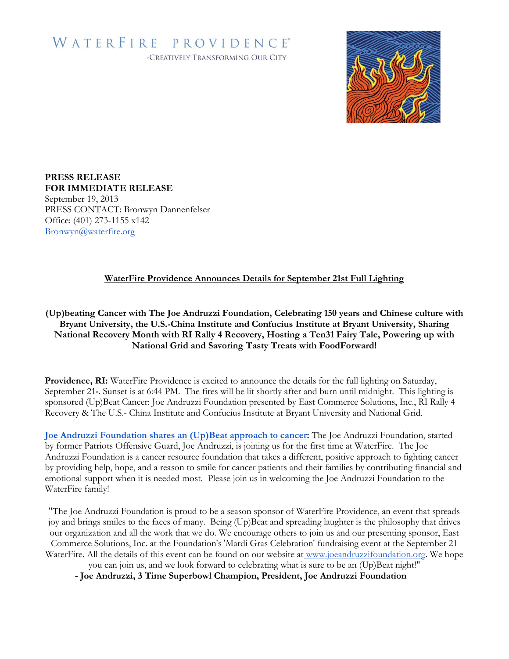# WATERFIRE PROVIDENCE® -CREATIVELY TRANSFORMING OUR CITY



## **PRESS RELEASE FOR IMMEDIATE RELEASE**

September 19, 2013 PRESS CONTACT: Bronwyn Dannenfelser Office: (401) 273-1155 x142 Bronwyn@waterfire.org

## **WaterFire Providence Announces Details for September 21st Full Lighting**

**(Up)beating Cancer with The Joe Andruzzi Foundation, Celebrating 150 years and Chinese culture with Bryant University, the U.S.-China Institute and Confucius Institute at Bryant University, Sharing National Recovery Month with RI Rally 4 Recovery, Hosting a Ten31 Fairy Tale, Powering up with National Grid and Savoring Tasty Treats with FoodForward!**

**Providence, RI:** WaterFire Providence is excited to announce the details for the full lighting on Saturday, September 21<sup>st</sup>. Sunset is at 6:44 PM. The fires will be lit shortly after and burn until midnight. This lighting is sponsored (Up)Beat Cancer: Joe Andruzzi Foundation presented by East Commerce Solutions, Inc., RI Rally 4 Recovery & The U.S.- China Institute and Confucius Institute at Bryant University and National Grid.

**[Joe Andruzzi Foundation shares an \(Up\)Beat approach to cancer:](http://joeandruzzifoundation.org/wp/)** The Joe Andruzzi Foundation, started by former Patriots Offensive Guard, Joe Andruzzi, is joining us for the first time at WaterFire. The Joe Andruzzi Foundation is a cancer resource foundation that takes a different, positive approach to fighting cancer by providing help, hope, and a reason to smile for cancer patients and their families by contributing financial and emotional support when it is needed most. Please join us in welcoming the Joe Andruzzi Foundation to the WaterFire family!

"The Joe Andruzzi Foundation is proud to be a season sponsor of WaterFire Providence, an event that spreads joy and brings smiles to the faces of many. Being (Up)Beat and spreading laughter is the philosophy that drives our organization and all the work that we do. We encourage others to join us and our presenting sponsor, East Commerce Solutions, Inc. at the Foundation's 'Mardi Gras Celebration' fundraising event at the September 21 WaterFire. All the details of this event can be found on our website at [www.joeandruzzifoundation.org.](http://www.joeandruzzifoundation.org/) We hope

you can join us, and we look forward to celebrating what is sure to be an (Up)Beat night!"

**- Joe Andruzzi, 3 Time Superbowl Champion, President, Joe Andruzzi Foundation**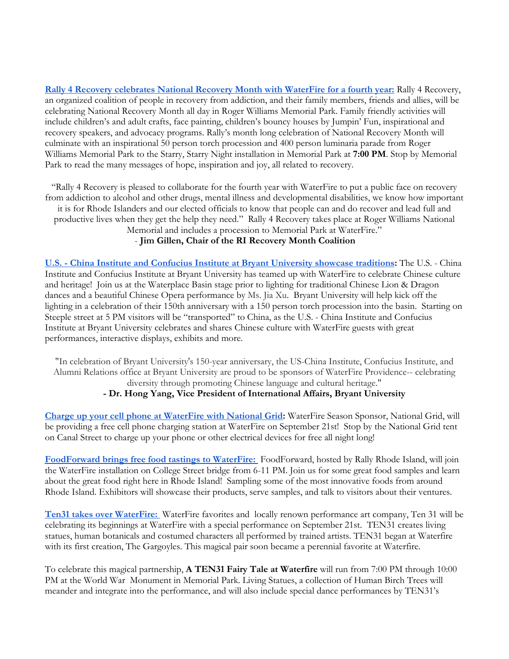**[Rally 4 Recovery celebrates National Recovery Month with WaterFire for a fourth year:](http://rally4recovery.com/)** Rally 4 Recovery, an organized coalition of people in recovery from addiction, and their family members, friends and allies, will be celebrating National Recovery Month all day in Roger Williams Memorial Park. Family friendly activities will include children's and adult crafts, face painting, children's bouncy houses by Jumpin' Fun, inspirational and recovery speakers, and advocacy programs. Rally's month long celebration of National Recovery Month will culminate with an inspirational 50 person torch procession and 400 person luminaria parade from Roger Williams Memorial Park to the Starry, Starry Night installation in Memorial Park at **7:00 PM**. Stop by Memorial Park to read the many messages of hope, inspiration and joy, all related to recovery.

"Rally 4 Recovery is pleased to collaborate for the fourth year with WaterFire to put a public face on recovery from addiction to alcohol and other drugs, mental illness and developmental disabilities, we know how important it is for Rhode Islanders and our elected officials to know that people can and do recover and lead full and productive lives when they get the help they need." Rally 4 Recovery takes place at Roger Williams National Memorial and includes a procession to Memorial Park at WaterFire."

#### - **Jim Gillen, Chair of the RI Recovery Month Coalition**

**U.S. - [China Institute and Confucius Institute at Bryant University showcase traditions:](http://china.bryant.edu/)** The U.S. - China Institute and Confucius Institute at Bryant University has teamed up with WaterFire to celebrate Chinese culture and heritage! Join us at the Waterplace Basin stage prior to lighting for traditional Chinese Lion & Dragon dances and a beautiful Chinese Opera performance by Ms. Jia Xu. Bryant University will help kick off the lighting in a celebration of their 150th anniversary with a 150 person torch procession into the basin. Starting on Steeple street at 5 PM visitors will be "transported" to China, as the U.S. - China Institute and Confucius Institute at Bryant University celebrates and shares Chinese culture with WaterFire guests with great performances, interactive displays, exhibits and more.

"In celebration of Bryant University's 150-year anniversary, the US-China Institute, Confucius Institute, and Alumni Relations office at Bryant University are proud to be sponsors of WaterFire Providence-- celebrating diversity through promoting Chinese language and cultural heritage." **- Dr. Hong Yang, Vice President of International Affairs, Bryant University**

**[Charge up your cell phone at WaterFire with National Grid:](http://www.nationalgridus.com/)** WaterFire Season Sponsor, National Grid, will be providing a free cell phone charging station at WaterFire on September 21st! Stop by the National Grid tent on Canal Street to charge up your phone or other electrical devices for free all night long!

**[FoodForward brings free food tastings to WaterFire:](http://www.rallyri.org/)** FoodForward, hosted by Rally Rhode Island, will join the WaterFire installation on College Street bridge from 6-11 PM. Join us for some great food samples and learn about the great food right here in Rhode Island! Sampling some of the most innovative foods from around Rhode Island. Exhibitors will showcase their products, serve samples, and talk to visitors about their ventures.

**[Ten31 takes over WaterFire:](http://ten31productions.com/)** WaterFire favorites and locally renown performance art company, Ten 31 will be celebrating its beginnings at WaterFire with a special performance on September 21st. TEN31 creates living statues, human botanicals and costumed characters all performed by trained artists. TEN31 began at Waterfire with its first creation, The Gargoyles. This magical pair soon became a perennial favorite at Waterfire.

To celebrate this magical partnership, **A TEN31 Fairy Tale at Waterfire** will run from 7:00 PM through 10:00 PM at the World War Monument in Memorial Park. Living Statues, a collection of Human Birch Trees will meander and integrate into the performance, and will also include special dance performances by TEN31's